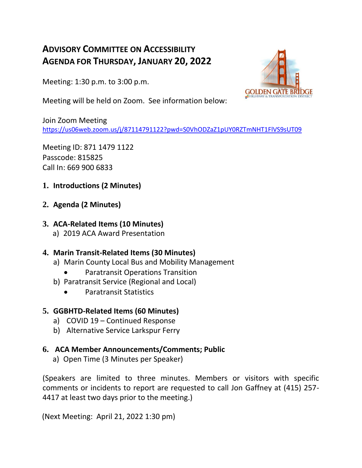# **ADVISORY COMMITTEE ON ACCESSIBILITY AGENDA FOR THURSDAY, JANUARY 20, 2022**

Meeting: 1:30 p.m. to 3:00 p.m.



Meeting will be held on Zoom. See information below:

Join Zoom Meeting [https://us06web.zoom.us/j/87114791122?pwd=S0VhODZaZ1pUY0RZTmNHT1FlVS9sUT09](https://nam04.safelinks.protection.outlook.com/?url=https%3A%2F%2Fus06web.zoom.us%2Fj%2F87114791122%3Fpwd%3DS0VhODZaZ1pUY0RZTmNHT1FlVS9sUT09&data=04%7C01%7CJGaffney%40goldengate.org%7Cbef3938827c64f316f3208d9d072fb39%7C35f44930e31b48039bb015ab7249d289%7C0%7C0%7C637770014540989273%7CUnknown%7CTWFpbGZsb3d8eyJWIjoiMC4wLjAwMDAiLCJQIjoiV2luMzIiLCJBTiI6Ik1haWwiLCJXVCI6Mn0%3D%7C3000&sdata=%2B0dOxkKhA8i1%2Fw%2F%2FlhjiJ243ZVO80%2BTl7wftajSVkls%3D&reserved=0)

Meeting ID: 871 1479 1122 Passcode: 815825 Call In: 669 900 6833

- **1. Introductions (2 Minutes)**
- **2. Agenda (2 Minutes)**

## **3. ACA-Related Items (10 Minutes)**

a) 2019 ACA Award Presentation

## **4. Marin Transit-Related Items (30 Minutes)**

- a) Marin County Local Bus and Mobility Management
	- Paratransit Operations Transition
- b) Paratransit Service (Regional and Local)
	- Paratransit Statistics

## **5. GGBHTD-Related Items (60 Minutes)**

- a) COVID 19 Continued Response
- b) Alternative Service Larkspur Ferry

## **6. ACA Member Announcements/Comments; Public**

a) Open Time (3 Minutes per Speaker)

(Speakers are limited to three minutes. Members or visitors with specific comments or incidents to report are requested to call Jon Gaffney at (415) 257- 4417 at least two days prior to the meeting.)

(Next Meeting: April 21, 2022 1:30 pm)